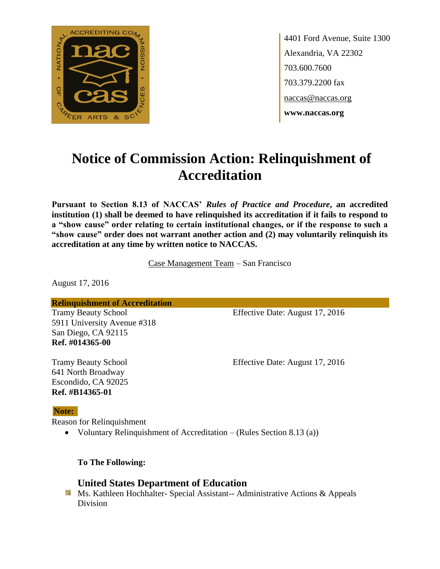

4401 Ford Avenue, Suite 1300 Alexandria, VA 22302 703.600.7600 703.379.2200 fax naccas@naccas.org **www.naccas.org**

# **Notice of Commission Action: Relinquishment of Accreditation**

**Pursuant to Section 8.13 of NACCAS'** *Rules of Practice and Procedure***, an accredited institution (1) shall be deemed to have relinquished its accreditation if it fails to respond to a "show cause" order relating to certain institutional changes, or if the response to such a "show cause" order does not warrant another action and (2) may voluntarily relinquish its accreditation at any time by written notice to NACCAS.**

Case Management Team – San Francisco

August 17, 2016

**Relinquishment of Accreditation**

5911 University Avenue #318 San Diego, CA 92115 **Ref. #014365-00**

Tramy Beauty School Effective Date: August 17, 2016

641 North Broadway Escondido, CA 92025 **Ref. #B14365-01**

Tramy Beauty School Effective Date: August 17, 2016

### **Note:**

Reason for Relinquishment

Voluntary Relinquishment of Accreditation – (Rules Section 8.13 (a))

**To The Following:**

## **United States Department of Education**

**Ms. Kathleen Hochhalter- Special Assistant-- Administrative Actions & Appeals** Division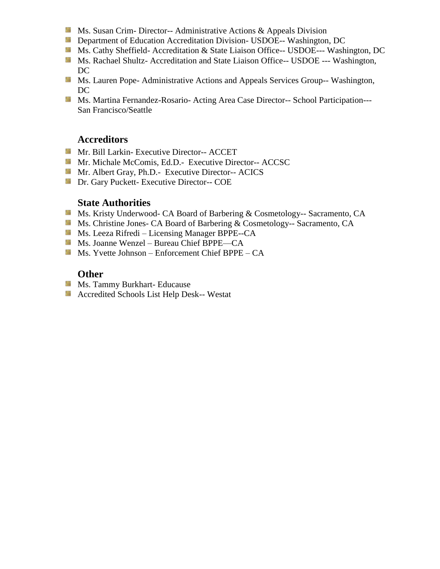- **Ms.** Susan Crim-Director-- Administrative Actions  $\&$  Appeals Division
- **Department of Education Accreditation Division- USDOE-- Washington, DC**
- Ms. Cathy Sheffield- Accreditation & State Liaison Office-- USDOE--- Washington, DC
- **Ms. Rachael Shultz- Accreditation and State Liaison Office-- USDOE --- Washington,** DC
- **MS. Lauren Pope- Administrative Actions and Appeals Services Group-- Washington,** DC
- **Ms. Martina Fernandez-Rosario- Acting Area Case Director-- School Participation---**San Francisco/Seattle

# **Accreditors**

- Mr. Bill Larkin- Executive Director-- ACCET
- Mr. Michale McComis, Ed.D.- Executive Director-- ACCSC
- Mr. Albert Gray, Ph.D.- Executive Director-- ACICS
- **Dr.** Gary Puckett- Executive Director-- COE

#### **State Authorities**

- Ms. Kristy Underwood- CA Board of Barbering & Cosmetology-- Sacramento, CA
- Ms. Christine Jones- CA Board of Barbering & Cosmetology-- Sacramento, CA
- Ms. Leeza Rifredi Licensing Manager BPPE--CA
- Ms. Joanne Wenzel Bureau Chief BPPE—CA
- Ms. Yvette Johnson Enforcement Chief BPPE CA

## **Other**

- **Ms. Tammy Burkhart- Educause**
- **Accredited Schools List Help Desk-- Westat**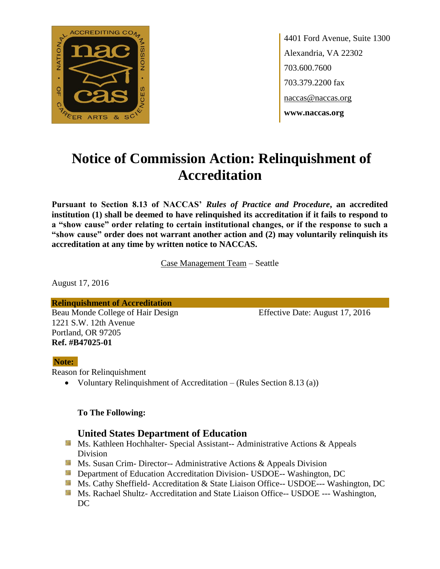

4401 Ford Avenue, Suite 1300 Alexandria, VA 22302 703.600.7600 703.379.2200 fax naccas@naccas.org **www.naccas.org**

# **Notice of Commission Action: Relinquishment of Accreditation**

**Pursuant to Section 8.13 of NACCAS'** *Rules of Practice and Procedure***, an accredited institution (1) shall be deemed to have relinquished its accreditation if it fails to respond to a "show cause" order relating to certain institutional changes, or if the response to such a "show cause" order does not warrant another action and (2) may voluntarily relinquish its accreditation at any time by written notice to NACCAS.**

Case Management Team – Seattle

August 17, 2016

**Relinquishment of Accreditation** Beau Monde College of Hair Design Effective Date: August 17, 2016 1221 S.W. 12th Avenue Portland, OR 97205 **Ref. #B47025-01**

#### **Note:**

Reason for Relinquishment

Voluntary Relinquishment of Accreditation – (Rules Section 8.13 (a))

#### **To The Following:**

### **United States Department of Education**

- **Ms. Kathleen Hochhalter- Special Assistant-- Administrative Actions & Appeals** Division
- **Ms. Susan Crim- Director-- Administrative Actions & Appeals Division**
- **Department of Education Accreditation Division- USDOE-- Washington, DC**
- Ms. Cathy Sheffield- Accreditation & State Liaison Office-- USDOE--- Washington, DC
- **MS. Rachael Shultz- Accreditation and State Liaison Office-- USDOE --- Washington,** DC